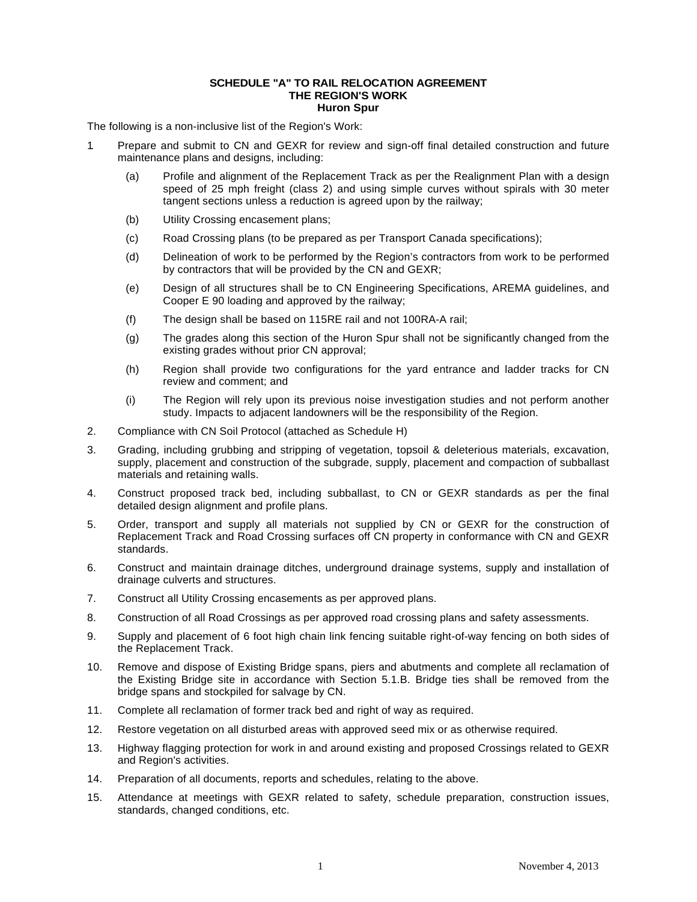## **SCHEDULE "A" TO RAIL RELOCATION AGREEMENT THE REGION'S WORK Huron Spur**

The following is a non-inclusive list of the Region's Work:

- 1. Prepare and submit to CN and GEXR for review and sign-off final detailed construction and future maintenance plans and designs, including:
	- (a) Profile and alignment of the Replacement Track as per the Realignment Plan with a design speed of 25 mph freight (class 2) and using simple curves without spirals with 30 meter tangent sections unless a reduction is agreed upon by the railway;
	- (b) Utility Crossing encasement plans;
	- (c) Road Crossing plans (to be prepared as per Transport Canada specifications);
	- (d) Delineation of work to be performed by the Region's contractors from work to be performed by contractors that will be provided by the CN and GEXR;
	- (e) Design of all structures shall be to CN Engineering Specifications, AREMA guidelines, and Cooper E 90 loading and approved by the railway;
	- (f) The design shall be based on 115RE rail and not 100RA-A rail;
	- (g) The grades along this section of the Huron Spur shall not be significantly changed from the existing grades without prior CN approval;
	- (h) Region shall provide two configurations for the yard entrance and ladder tracks for CN review and comment; and
	- (i) The Region will rely upon its previous noise investigation studies and not perform another study. Impacts to adjacent landowners will be the responsibility of the Region.
- 2. Compliance with CN Soil Protocol (attached as Schedule H)
- 3. Grading, including grubbing and stripping of vegetation, topsoil & deleterious materials, excavation, supply, placement and construction of the subgrade, supply, placement and compaction of subballast materials and retaining walls.
- 4. Construct proposed track bed, including subballast, to CN or GEXR standards as per the final detailed design alignment and profile plans.
- 5. Order, transport and supply all materials not supplied by CN or GEXR for the construction of Replacement Track and Road Crossing surfaces off CN property in conformance with CN and GEXR standards.
- 6. Construct and maintain drainage ditches, underground drainage systems, supply and installation of drainage culverts and structures.
- 7. Construct all Utility Crossing encasements as per approved plans.
- 8. Construction of all Road Crossings as per approved road crossing plans and safety assessments.
- 9. Supply and placement of 6 foot high chain link fencing suitable right-of-way fencing on both sides of the Replacement Track.
- 10. Remove and dispose of Existing Bridge spans, piers and abutments and complete all reclamation of the Existing Bridge site in accordance with Section 5.1.B. Bridge ties shall be removed from the bridge spans and stockpiled for salvage by CN.
- 11. Complete all reclamation of former track bed and right of way as required.
- 12. Restore vegetation on all disturbed areas with approved seed mix or as otherwise required.
- 13. Highway flagging protection for work in and around existing and proposed Crossings related to GEXR and Region's activities.
- 14. Preparation of all documents, reports and schedules, relating to the above.
- 15. Attendance at meetings with GEXR related to safety, schedule preparation, construction issues, standards, changed conditions, etc.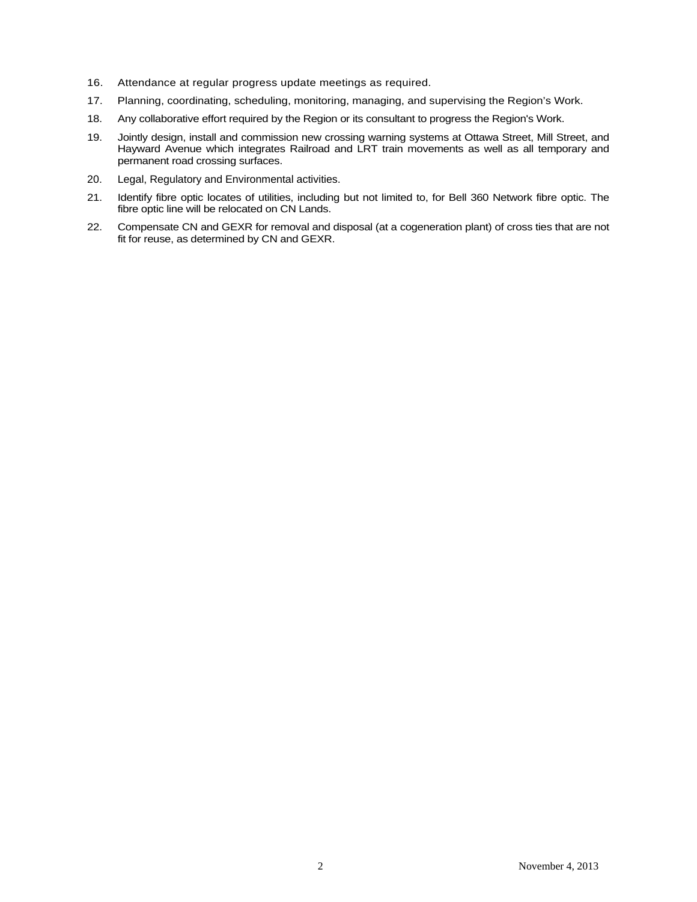- 16. Attendance at regular progress update meetings as required.
- 17. Planning, coordinating, scheduling, monitoring, managing, and supervising the Region's Work.
- 18. Any collaborative effort required by the Region or its consultant to progress the Region's Work.
- 19. Jointly design, install and commission new crossing warning systems at Ottawa Street, Mill Street, and Hayward Avenue which integrates Railroad and LRT train movements as well as all temporary and permanent road crossing surfaces.
- 20. Legal, Regulatory and Environmental activities.
- 21. Identify fibre optic locates of utilities, including but not limited to, for Bell 360 Network fibre optic. The fibre optic line will be relocated on CN Lands.
- 22. Compensate CN and GEXR for removal and disposal (at a cogeneration plant) of cross ties that are not fit for reuse, as determined by CN and GEXR.